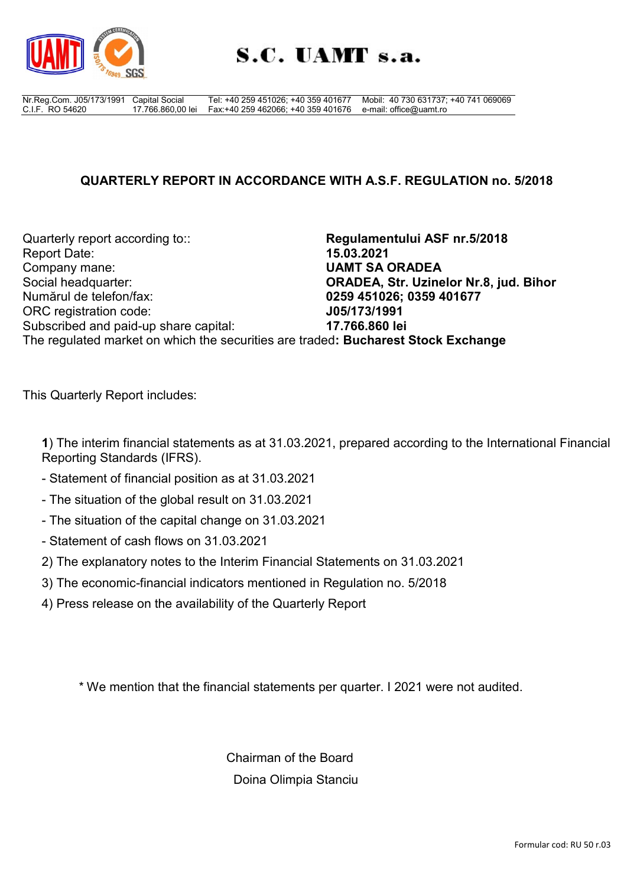

Nr.Reg.Com. J05/173/1991 C.I.F. RO 54620 Capital Social 17.766.860,00 lei Tel: +40 259 451026; +40 359 401677 Fax:+40 259 462066; +40 359 401676 e-mail: office@uamt.ro Mobil: 40 730 631737; +40 741 069069

# **QUARTERLY REPORT IN ACCORDANCE WITH A.S.F. REGULATION no. 5/2018**

Quarterly report according to:: **Regulamentului ASF nr.5/2018** Report Date: **15.03.2021** Company mane: **UAMT SA ORADEA** Social headquarter: **ORADEA, Str. Uzinelor Nr.8, jud. Bihor** Numărul de telefon/fax: **0259 451026; 0359 401677** ORC registration code: **J05/173/1991** Subscribed and paid-up share capital: **17.766.860 lei** The regulated market on which the securities are traded**: Bucharest Stock Exchange**

This Quarterly Report includes:

**1**) The interim financial statements as at 31.03.2021, prepared according to the International Financial Reporting Standards (IFRS).

- Statement of financial position as at 31.03.2021
- The situation of the global result on 31.03.2021
- The situation of the capital change on 31.03.2021
- Statement of cash flows on 31.03.2021
- 2) The explanatory notes to the Interim Financial Statements on 31.03.2021
- 3) The economic-financial indicators mentioned in Regulation no. 5/2018
- 4) Press release on the availability of the Quarterly Report

\* We mention that the financial statements per quarter. I 2021 were not audited.

Chairman of the Board Doina Olimpia Stanciu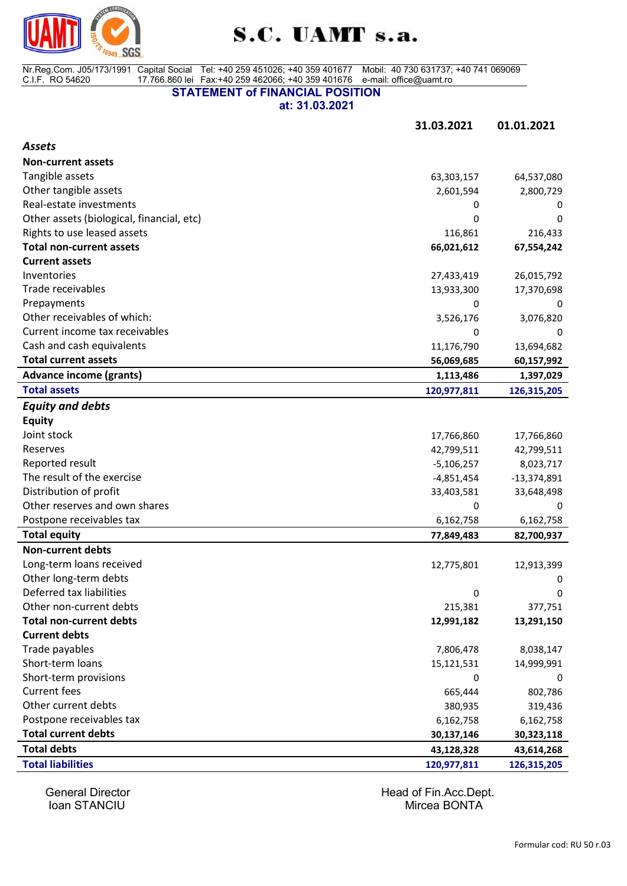

Nr.Reg.Com. J05/173/1991 C.I.F. RO 54620 Capital Social 17.766.860 lei Tel: +40 259 451026; +40 359 401677 Fax:+40 259 462066; +40 359 401676 Mobil: 40 730 631737; +40 741 069069 e-mail: office@uamt.ro

**STATEMENT of FINANCIAL POSITION**

**at: 31.03.2021**

**31.03.2021 01.01.2021**

| <b>Assets</b>                             |              |               |
|-------------------------------------------|--------------|---------------|
| <b>Non-current assets</b>                 |              |               |
| Tangible assets                           | 63,303,157   | 64,537,080    |
| Other tangible assets                     | 2,601,594    | 2,800,729     |
| Real-estate investments                   | 0            | 0             |
| Other assets (biological, financial, etc) | 0            | 0             |
| Rights to use leased assets               | 116,861      | 216,433       |
| <b>Total non-current assets</b>           | 66,021,612   | 67,554,242    |
| <b>Current assets</b>                     |              |               |
| Inventories                               | 27,433,419   | 26,015,792    |
| Trade receivables                         | 13,933,300   | 17,370,698    |
| Prepayments                               | 0            | 0             |
| Other receivables of which:               | 3,526,176    | 3,076,820     |
| Current income tax receivables            | 0            | 0             |
| Cash and cash equivalents                 | 11,176,790   | 13,694,682    |
| <b>Total current assets</b>               | 56,069,685   | 60,157,992    |
| <b>Advance income (grants)</b>            | 1,113,486    | 1,397,029     |
| <b>Total assets</b>                       | 120,977,811  | 126,315,205   |
| <b>Equity and debts</b>                   |              |               |
| <b>Equity</b>                             |              |               |
| Joint stock                               | 17,766,860   | 17,766,860    |
| Reserves                                  | 42,799,511   | 42,799,511    |
| Reported result                           | $-5,106,257$ | 8,023,717     |
| The result of the exercise                | $-4,851,454$ | $-13,374,891$ |
| Distribution of profit                    | 33,403,581   | 33,648,498    |
| Other reserves and own shares             | 0            | 0             |
| Postpone receivables tax                  | 6,162,758    | 6,162,758     |
| <b>Total equity</b>                       | 77,849,483   | 82,700,937    |
| <b>Non-current debts</b>                  |              |               |
| Long-term loans received                  | 12,775,801   | 12,913,399    |
| Other long-term debts                     |              | 0             |
| Deferred tax liabilities                  | 0            | 0             |
| Other non-current debts                   | 215,381      | 377,751       |
| <b>Total non-current debts</b>            | 12,991,182   | 13,291,150    |
| <b>Current debts</b>                      |              |               |
| Trade payables                            | 7,806,478    | 8,038,147     |
| Short-term loans                          | 15,121,531   | 14,999,991    |
| Short-term provisions                     | 0            | 0             |
| <b>Current fees</b>                       | 665,444      | 802,786       |
| Other current debts                       | 380,935      | 319,436       |
| Postpone receivables tax                  | 6,162,758    | 6,162,758     |
| <b>Total current debts</b>                | 30,137,146   | 30,323,118    |
| <b>Total debts</b>                        | 43,128,328   | 43,614,268    |
| <b>Total liabilities</b>                  | 120,977,811  | 126,315,205   |

Ioan STANCIU

General Director **General Director Head of Fin.Acc.Dept.**<br> **Frame STANCIU Head of Fin.Acc.Dept.**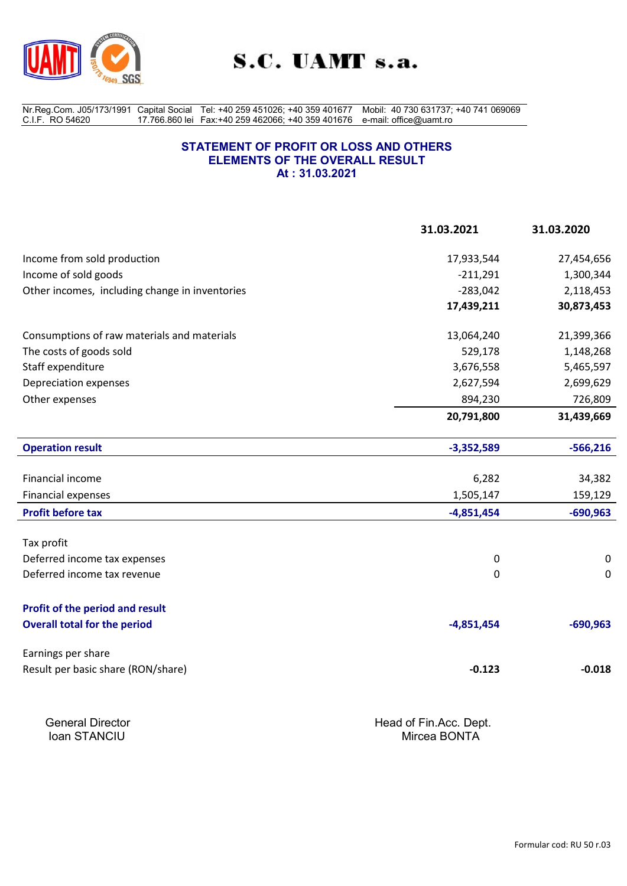

Nr.Reg.Com. J05/173/1991 C.I.F. RO 54620 Capital Social 17.766.860 lei Tel: +40 259 451026; +40 359 401677 Fax:+40 259 462066; +40 359 401676 Mobil: 40 730 631737; +40 741 069069 e-mail: office@uamt.ro

#### **STATEMENT OF PROFIT OR LOSS AND OTHERS ELEMENTS OF THE OVERALL RESULT At : 31.03.2021**

|                                                | 31.03.2021             | 31.03.2020  |
|------------------------------------------------|------------------------|-------------|
| Income from sold production                    | 17,933,544             | 27,454,656  |
| Income of sold goods                           | $-211,291$             | 1,300,344   |
| Other incomes, including change in inventories | $-283,042$             | 2,118,453   |
|                                                | 17,439,211             | 30,873,453  |
| Consumptions of raw materials and materials    | 13,064,240             | 21,399,366  |
| The costs of goods sold                        | 529,178                | 1,148,268   |
| Staff expenditure                              | 3,676,558              | 5,465,597   |
| Depreciation expenses                          | 2,627,594              | 2,699,629   |
| Other expenses                                 | 894,230                | 726,809     |
|                                                | 20,791,800             | 31,439,669  |
| <b>Operation result</b>                        | $-3,352,589$           | $-566,216$  |
| Financial income                               | 6,282                  | 34,382      |
| <b>Financial expenses</b>                      | 1,505,147              | 159,129     |
| <b>Profit before tax</b>                       | $-4,851,454$           | $-690,963$  |
| Tax profit                                     |                        |             |
| Deferred income tax expenses                   | 0                      | 0           |
| Deferred income tax revenue                    | 0                      | $\mathbf 0$ |
| Profit of the period and result                |                        |             |
| <b>Overall total for the period</b>            | $-4,851,454$           | $-690,963$  |
| Earnings per share                             |                        |             |
| Result per basic share (RON/share)             | $-0.123$               | $-0.018$    |
| <b>General Director</b>                        | Head of Fin.Acc. Dept. |             |
| Ioan STANCIU                                   | Mircea BONTA           |             |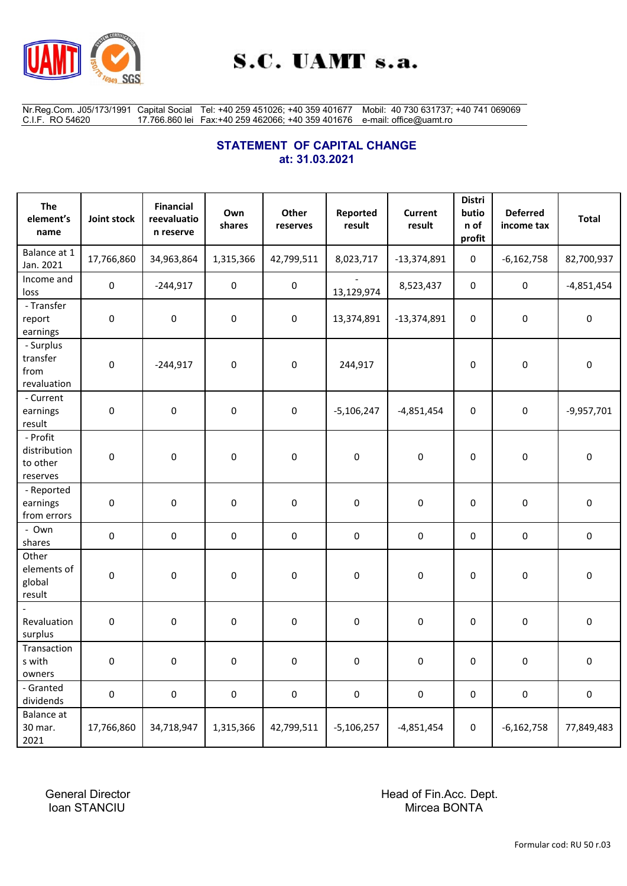

Nr.Reg.Com. J05/173/1991 C.I.F. RO 54620 Capital Social 17.766.860 lei Tel: +40 259 451026; +40 359 401677 Fax:+40 259 462066; +40 359 401676 Mobil: 40 730 631737; +40 741 069069 e-mail: office@uamt.ro

# **STATEMENT OF CAPITAL CHANGE at: 31.03.2021**

| The<br>element's<br>name                         | Joint stock | <b>Financial</b><br>reevaluatio<br>n reserve | Own<br>shares | Other<br>reserves | Reported<br>result | <b>Current</b><br>result | <b>Distri</b><br>butio<br>n of<br>profit | <b>Deferred</b><br>income tax | <b>Total</b> |
|--------------------------------------------------|-------------|----------------------------------------------|---------------|-------------------|--------------------|--------------------------|------------------------------------------|-------------------------------|--------------|
| Balance at 1<br>Jan. 2021                        | 17,766,860  | 34,963,864                                   | 1,315,366     | 42,799,511        | 8,023,717          | $-13,374,891$            | $\mathbf 0$                              | $-6,162,758$                  | 82,700,937   |
| Income and<br>loss                               | 0           | $-244,917$                                   | $\pmb{0}$     | $\pmb{0}$         | 13,129,974         | 8,523,437                | $\boldsymbol{0}$                         | $\pmb{0}$                     | $-4,851,454$ |
| - Transfer<br>report<br>earnings                 | 0           | $\pmb{0}$                                    | $\pmb{0}$     | $\pmb{0}$         | 13,374,891         | $-13,374,891$            | $\pmb{0}$                                | 0                             | 0            |
| - Surplus<br>transfer<br>from<br>revaluation     | $\pmb{0}$   | $-244,917$                                   | $\pmb{0}$     | $\pmb{0}$         | 244,917            |                          | $\boldsymbol{0}$                         | $\pmb{0}$                     | $\pmb{0}$    |
| - Current<br>earnings<br>result                  | $\pmb{0}$   | $\pmb{0}$                                    | $\pmb{0}$     | $\pmb{0}$         | $-5,106,247$       | $-4,851,454$             | $\pmb{0}$                                | 0                             | $-9,957,701$ |
| - Profit<br>distribution<br>to other<br>reserves | $\pmb{0}$   | $\pmb{0}$                                    | $\pmb{0}$     | $\pmb{0}$         | $\pmb{0}$          | 0                        | 0                                        | $\pmb{0}$                     | 0            |
| - Reported<br>earnings<br>from errors            | 0           | $\pmb{0}$                                    | $\pmb{0}$     | $\pmb{0}$         | 0                  | $\pmb{0}$                | $\pmb{0}$                                | $\pmb{0}$                     | 0            |
| - Own<br>shares                                  | $\pmb{0}$   | $\pmb{0}$                                    | $\pmb{0}$     | $\pmb{0}$         | 0                  | $\pmb{0}$                | $\boldsymbol{0}$                         | $\pmb{0}$                     | $\pmb{0}$    |
| Other<br>elements of<br>global<br>result         | 0           | $\pmb{0}$                                    | $\pmb{0}$     | $\pmb{0}$         | 0                  | 0                        | $\mathbf 0$                              | 0                             | 0            |
| Revaluation<br>surplus                           | $\pmb{0}$   | $\pmb{0}$                                    | $\pmb{0}$     | $\pmb{0}$         | 0                  | 0                        | 0                                        | 0                             | 0            |
| Transaction<br>s with<br>owners                  | 0           | 0                                            | 0             | 0                 | 0                  | 0                        | 0                                        | 0                             | 0            |
| - Granted<br>dividends                           | 0           | $\pmb{0}$                                    | $\pmb{0}$     | $\pmb{0}$         | 0                  | 0                        | $\pmb{0}$                                | 0                             | 0            |
| <b>Balance</b> at<br>30 mar.<br>2021             | 17,766,860  | 34,718,947                                   | 1,315,366     | 42,799,511        | $-5,106,257$       | $-4,851,454$             | $\pmb{0}$                                | $-6,162,758$                  | 77,849,483   |

General Director **Head of Fin.Acc. Dept.** Ioan STANCIU Nircea BONTA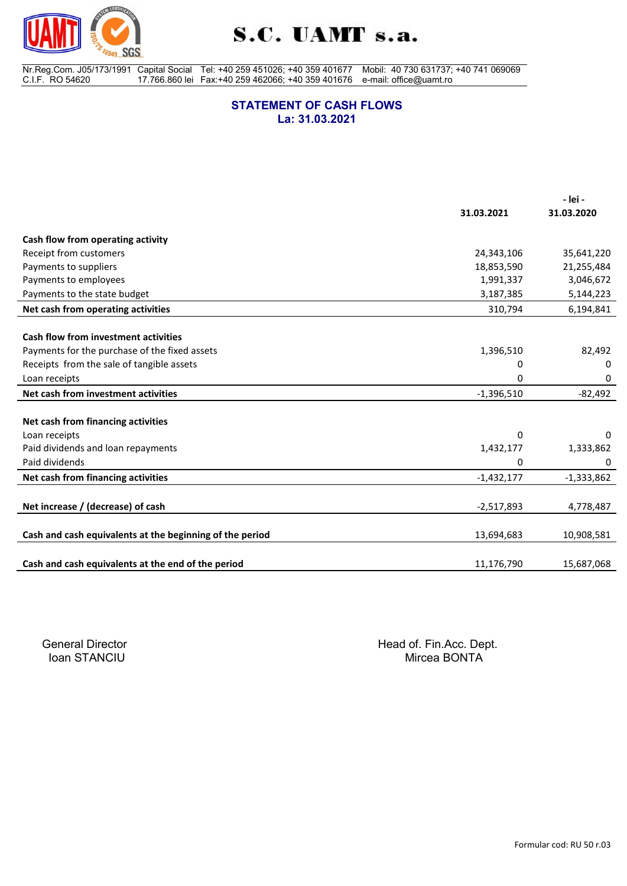

Nr.Reg.Com. J05/173/1991 C.I.F. RO 54620 Capital Social 17.766.860 lei Tel: +40 259 451026; +40 359 401677 Fax:+40 259 462066; +40 359 401676 Mobil: 40 730 631737; +40 741 069069 e-mail: office@uamt.ro

#### **STATEMENT OF CASH FLOWS La: 31.03.2021**

|                                                          |              | - lei -      |
|----------------------------------------------------------|--------------|--------------|
|                                                          | 31.03.2021   | 31.03.2020   |
| Cash flow from operating activity                        |              |              |
| Receipt from customers                                   | 24,343,106   | 35,641,220   |
| Payments to suppliers                                    | 18,853,590   | 21,255,484   |
| Payments to employees                                    | 1,991,337    | 3,046,672    |
| Payments to the state budget                             | 3,187,385    | 5,144,223    |
| Net cash from operating activities                       | 310,794      | 6,194,841    |
|                                                          |              |              |
| Cash flow from investment activities                     |              |              |
| Payments for the purchase of the fixed assets            | 1,396,510    | 82,492       |
| Receipts from the sale of tangible assets                | 0            | 0            |
| Loan receipts                                            | 0            | 0            |
| Net cash from investment activities                      | $-1,396,510$ | $-82,492$    |
|                                                          |              |              |
| Net cash from financing activities                       |              |              |
| Loan receipts                                            | 0            | 0            |
| Paid dividends and loan repayments                       | 1,432,177    | 1,333,862    |
| Paid dividends                                           | 0            | 0            |
| Net cash from financing activities                       | $-1,432,177$ | $-1,333,862$ |
|                                                          |              |              |
| Net increase / (decrease) of cash                        | $-2,517,893$ | 4,778,487    |
|                                                          |              |              |
| Cash and cash equivalents at the beginning of the period | 13,694,683   | 10,908,581   |
| Cash and cash equivalents at the end of the period       | 11,176,790   | 15,687,068   |
|                                                          |              |              |

Ioan STANCIU

General Director **General Director Head of Fin.Acc. Dept.**<br> **Figure 10an STANCIU Head of STANCIU**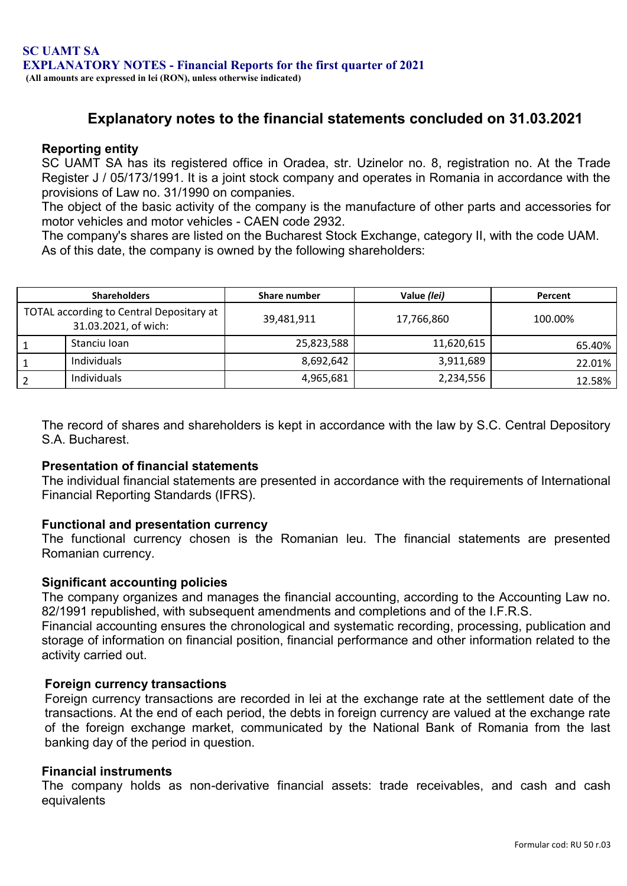# **Explanatory notes to the financial statements concluded on 31.03.2021**

# **Reporting entity**

SC UAMT SA has its registered office in Oradea, str. Uzinelor no. 8, registration no. At the Trade Register J / 05/173/1991. It is a joint stock company and operates in Romania in accordance with the provisions of Law no. 31/1990 on companies.

The object of the basic activity of the company is the manufacture of other parts and accessories for motor vehicles and motor vehicles - CAEN code 2932.

The company's shares are listed on the Bucharest Stock Exchange, category II, with the code UAM. As of this date, the company is owned by the following shareholders:

| <b>Shareholders</b>                                              | Share number | Value (lei) | Percent |
|------------------------------------------------------------------|--------------|-------------|---------|
| TOTAL according to Central Depositary at<br>31.03.2021, of wich: | 39,481,911   | 17,766,860  | 100.00% |
| Stanciu Ioan                                                     | 25,823,588   | 11,620,615  | 65.40%  |
| Individuals                                                      | 8,692,642    | 3,911,689   | 22.01%  |
| Individuals                                                      | 4,965,681    | 2,234,556   | 12.58%  |

The record of shares and shareholders is kept in accordance with the law by S.C. Central Depository S.A. Bucharest.

### **Presentation of financial statements**

The individual financial statements are presented in accordance with the requirements of International Financial Reporting Standards (IFRS).

# **Functional and presentation currency**

The functional currency chosen is the Romanian leu. The financial statements are presented Romanian currency.

### **Significant accounting policies**

The company organizes and manages the financial accounting, according to the Accounting Law no. 82/1991 republished, with subsequent amendments and completions and of the I.F.R.S.

Financial accounting ensures the chronological and systematic recording, processing, publication and storage of information on financial position, financial performance and other information related to the activity carried out.

### **Foreign currency transactions**

Foreign currency transactions are recorded in lei at the exchange rate at the settlement date of the transactions. At the end of each period, the debts in foreign currency are valued at the exchange rate of the foreign exchange market, communicated by the National Bank of Romania from the last banking day of the period in question.

### **Financial instruments**

The company holds as non-derivative financial assets: trade receivables, and cash and cash equivalents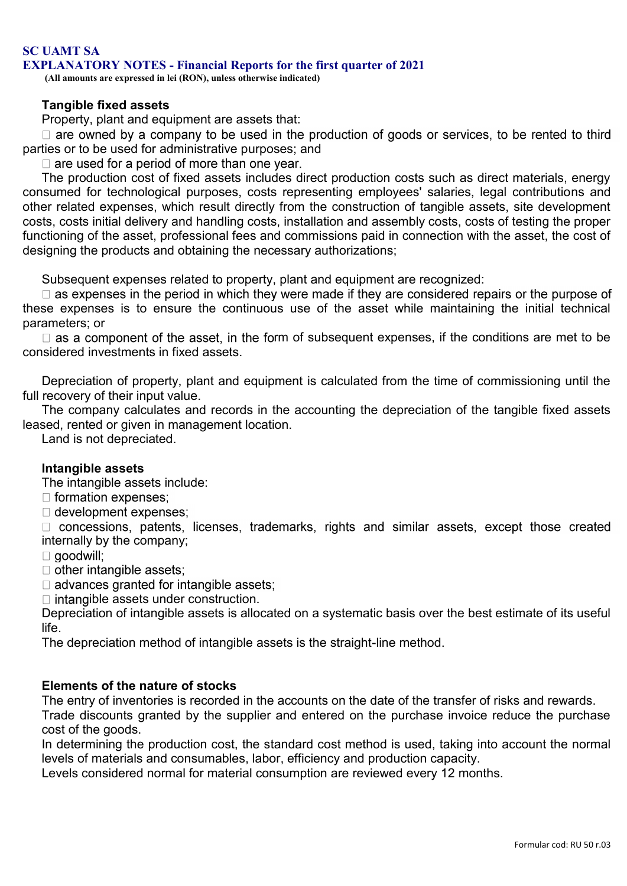#### **SC UAMT SA EXPLANATORY NOTES - Financial Reports for the first quarter of 2021**

**(All amounts are expressed in lei (RON), unless otherwise indicated)**

### **Tangible fixed assets**

Property, plant and equipment are assets that:

 $\Box$  are owned by a company to be used in the production of goods or services, to be rented to third parties or to be used for administrative purposes; and

 $\Box$  are used for a period of more than one year.

The production cost of fixed assets includes direct production costs such as direct materials, energy consumed for technological purposes, costs representing employees' salaries, legal contributions and other related expenses, which result directly from the construction of tangible assets, site development costs, costs initial delivery and handling costs, installation and assembly costs, costs of testing the proper functioning of the asset, professional fees and commissions paid in connection with the asset, the cost of designing the products and obtaining the necessary authorizations;

Subsequent expenses related to property, plant and equipment are recognized:

 $\Box$  as expenses in the period in which they were made if they are considered repairs or the purpose of these expenses is to ensure the continuous use of the asset while maintaining the initial technical parameters; or

 $\Box$  as a component of the asset, in the form of subsequent expenses, if the conditions are met to be considered investments in fixed assets.

Depreciation of property, plant and equipment is calculated from the time of commissioning until the full recovery of their input value.

The company calculates and records in the accounting the depreciation of the tangible fixed assets leased, rented or given in management location.

Land is not depreciated.

# **Intangible assets**

The intangible assets include:

- $\Box$  formation expenses;
- $\Box$  development expenses;

□ concessions, patents, licenses, trademarks, rights and similar assets, except those created internally by the company;

 $\Box$  goodwill;

 $\Box$  other intangible assets;

 $\Box$  advances granted for intangible assets;

 $\Box$  intangible assets under construction.

Depreciation of intangible assets is allocated on a systematic basis over the best estimate of its useful life.

The depreciation method of intangible assets is the straight-line method.

# **Elements of the nature of stocks**

The entry of inventories is recorded in the accounts on the date of the transfer of risks and rewards. Trade discounts granted by the supplier and entered on the purchase invoice reduce the purchase cost of the goods.

In determining the production cost, the standard cost method is used, taking into account the normal levels of materials and consumables, labor, efficiency and production capacity.

Levels considered normal for material consumption are reviewed every 12 months.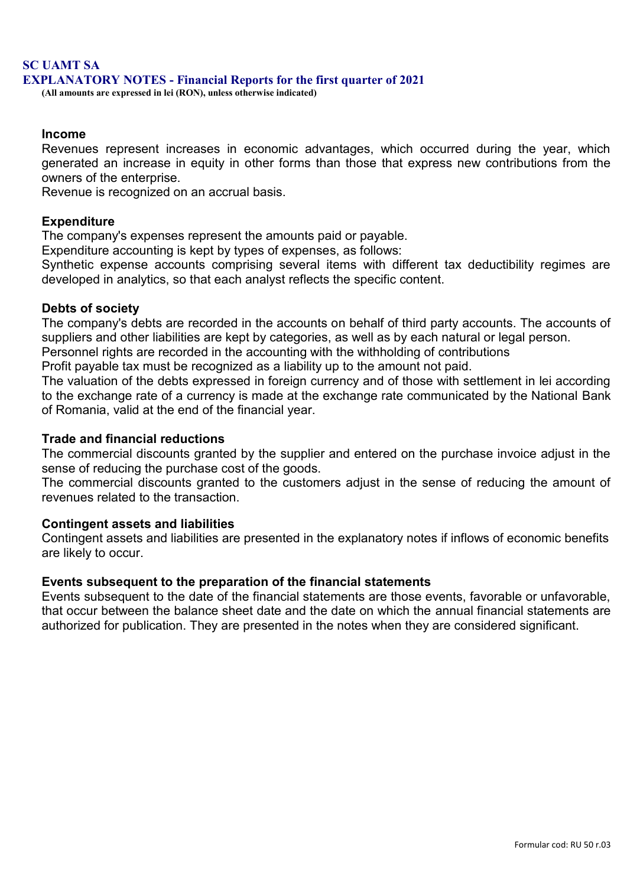# **SC UAMT SA EXPLANATORY NOTES - Financial Reports for the first quarter of 2021**

**(All amounts are expressed in lei (RON), unless otherwise indicated)**

### **Income**

Revenues represent increases in economic advantages, which occurred during the year, which generated an increase in equity in other forms than those that express new contributions from the owners of the enterprise.

Revenue is recognized on an accrual basis.

### **Expenditure**

The company's expenses represent the amounts paid or payable.

Expenditure accounting is kept by types of expenses, as follows:

Synthetic expense accounts comprising several items with different tax deductibility regimes are developed in analytics, so that each analyst reflects the specific content.

# **Debts of society**

The company's debts are recorded in the accounts on behalf of third party accounts. The accounts of suppliers and other liabilities are kept by categories, as well as by each natural or legal person.

Personnel rights are recorded in the accounting with the withholding of contributions

Profit payable tax must be recognized as a liability up to the amount not paid.

The valuation of the debts expressed in foreign currency and of those with settlement in lei according to the exchange rate of a currency is made at the exchange rate communicated by the National Bank of Romania, valid at the end of the financial year.

# **Trade and financial reductions**

The commercial discounts granted by the supplier and entered on the purchase invoice adjust in the sense of reducing the purchase cost of the goods.

The commercial discounts granted to the customers adjust in the sense of reducing the amount of revenues related to the transaction.

### **Contingent assets and liabilities**

Contingent assets and liabilities are presented in the explanatory notes if inflows of economic benefits are likely to occur.

### **Events subsequent to the preparation of the financial statements**

Events subsequent to the date of the financial statements are those events, favorable or unfavorable, that occur between the balance sheet date and the date on which the annual financial statements are authorized for publication. They are presented in the notes when they are considered significant.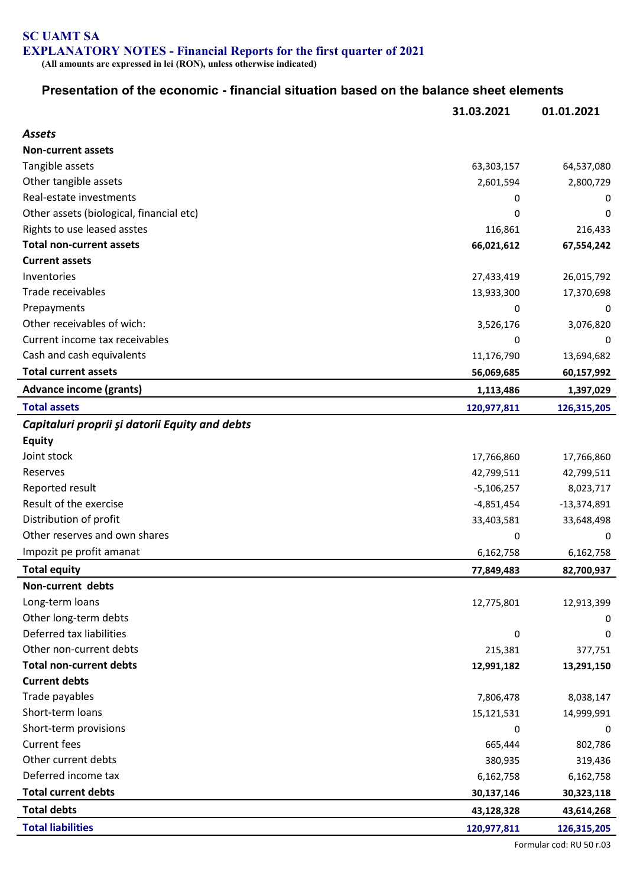# **SC UAMT SA EXPLANATORY NOTES - Financial Reports for the first quarter of 2021**

**(All amounts are expressed in lei (RON), unless otherwise indicated)**

# **Presentation of the economic - financial situation based on the balance sheet elements**

|                                                | 31.03.2021   | 01.01.2021    |
|------------------------------------------------|--------------|---------------|
| <b>Assets</b>                                  |              |               |
| <b>Non-current assets</b>                      |              |               |
| Tangible assets                                | 63,303,157   | 64,537,080    |
| Other tangible assets                          | 2,601,594    | 2,800,729     |
| Real-estate investments                        | 0            | 0             |
| Other assets (biological, financial etc)       | 0            | 0             |
| Rights to use leased asstes                    | 116,861      | 216,433       |
| <b>Total non-current assets</b>                | 66,021,612   | 67,554,242    |
| <b>Current assets</b>                          |              |               |
| Inventories                                    | 27,433,419   | 26,015,792    |
| Trade receivables                              | 13,933,300   | 17,370,698    |
| Prepayments                                    | 0            | 0             |
| Other receivables of wich:                     | 3,526,176    | 3,076,820     |
| Current income tax receivables                 | 0            | 0             |
| Cash and cash equivalents                      | 11,176,790   | 13,694,682    |
| <b>Total current assets</b>                    | 56,069,685   | 60,157,992    |
| <b>Advance income (grants)</b>                 | 1,113,486    | 1,397,029     |
| <b>Total assets</b>                            | 120,977,811  | 126,315,205   |
| Capitaluri proprii și datorii Equity and debts |              |               |
| <b>Equity</b>                                  |              |               |
| Joint stock                                    | 17,766,860   | 17,766,860    |
| Reserves                                       | 42,799,511   | 42,799,511    |
| Reported result                                | $-5,106,257$ | 8,023,717     |
| Result of the exercise                         | $-4,851,454$ | $-13,374,891$ |
| Distribution of profit                         | 33,403,581   | 33,648,498    |
| Other reserves and own shares                  | 0            | 0             |
| Impozit pe profit amanat                       | 6,162,758    | 6,162,758     |
| <b>Total equity</b>                            | 77,849,483   | 82,700,937    |
| Non-current debts                              |              |               |
| Long-term loans                                | 12,775,801   | 12,913,399    |
| Other long-term debts                          |              | 0             |
| Deferred tax liabilities                       | 0            | 0             |
| Other non-current debts                        | 215,381      | 377,751       |
| <b>Total non-current debts</b>                 | 12,991,182   | 13,291,150    |
| <b>Current debts</b>                           |              |               |
| Trade payables                                 | 7,806,478    | 8,038,147     |
| Short-term loans                               | 15,121,531   | 14,999,991    |
| Short-term provisions                          | 0            | 0             |
| <b>Current fees</b>                            | 665,444      | 802,786       |
| Other current debts                            | 380,935      | 319,436       |
| Deferred income tax                            | 6,162,758    | 6,162,758     |
| <b>Total current debts</b>                     | 30,137,146   | 30,323,118    |
| <b>Total debts</b>                             | 43,128,328   | 43,614,268    |
| <b>Total liabilities</b>                       | 120,977,811  | 126,315,205   |

Formular cod: RU 50 r.03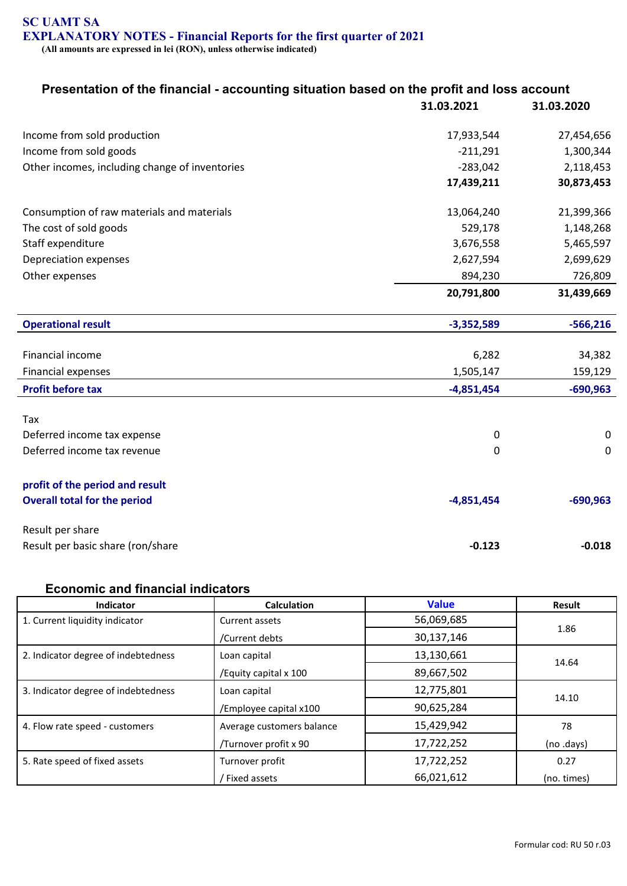## **SC UAMT SA EXPLANATORY NOTES - Financial Reports for the first quarter of 2021 (All amounts are expressed in lei (RON), unless otherwise indicated)**

# **Presentation of the financial - accounting situation based on the profit and loss account**

|                                                | 31.03.2021   | 31.03.2020  |
|------------------------------------------------|--------------|-------------|
| Income from sold production                    | 17,933,544   | 27,454,656  |
| Income from sold goods                         | $-211,291$   | 1,300,344   |
| Other incomes, including change of inventories | $-283,042$   | 2,118,453   |
|                                                | 17,439,211   | 30,873,453  |
| Consumption of raw materials and materials     | 13,064,240   | 21,399,366  |
| The cost of sold goods                         | 529,178      | 1,148,268   |
| Staff expenditure                              | 3,676,558    | 5,465,597   |
| Depreciation expenses                          | 2,627,594    | 2,699,629   |
| Other expenses                                 | 894,230      | 726,809     |
|                                                | 20,791,800   | 31,439,669  |
| <b>Operational result</b>                      | $-3,352,589$ | $-566,216$  |
| Financial income                               | 6,282        | 34,382      |
| <b>Financial expenses</b>                      | 1,505,147    | 159,129     |
| <b>Profit before tax</b>                       | $-4,851,454$ | $-690,963$  |
| Tax                                            |              |             |
| Deferred income tax expense                    | 0            | $\mathbf 0$ |
| Deferred income tax revenue                    | 0            | $\mathbf 0$ |
| profit of the period and result                |              |             |
| <b>Overall total for the period</b>            | $-4,851,454$ | $-690,963$  |
| Result per share                               |              |             |
| Result per basic share (ron/share              | $-0.123$     | $-0.018$    |

## **Economic and financial indicators**

| <b>Indicator</b>                    | <b>Calculation</b>        | <b>Value</b> | Result      |
|-------------------------------------|---------------------------|--------------|-------------|
| 1. Current liquidity indicator      | Current assets            | 56,069,685   |             |
|                                     | /Current debts            | 30,137,146   | 1.86        |
| 2. Indicator degree of indebtedness | Loan capital              | 13,130,661   | 14.64       |
|                                     | /Equity capital x 100     | 89,667,502   |             |
| 3. Indicator degree of indebtedness | Loan capital              | 12,775,801   | 14.10       |
|                                     | /Employee capital x100    | 90,625,284   |             |
| 4. Flow rate speed - customers      | Average customers balance | 15,429,942   | 78          |
|                                     | /Turnover profit x 90     | 17,722,252   | (no .days)  |
| 5. Rate speed of fixed assets       | Turnover profit           | 17,722,252   | 0.27        |
|                                     | Fixed assets              | 66,021,612   | (no. times) |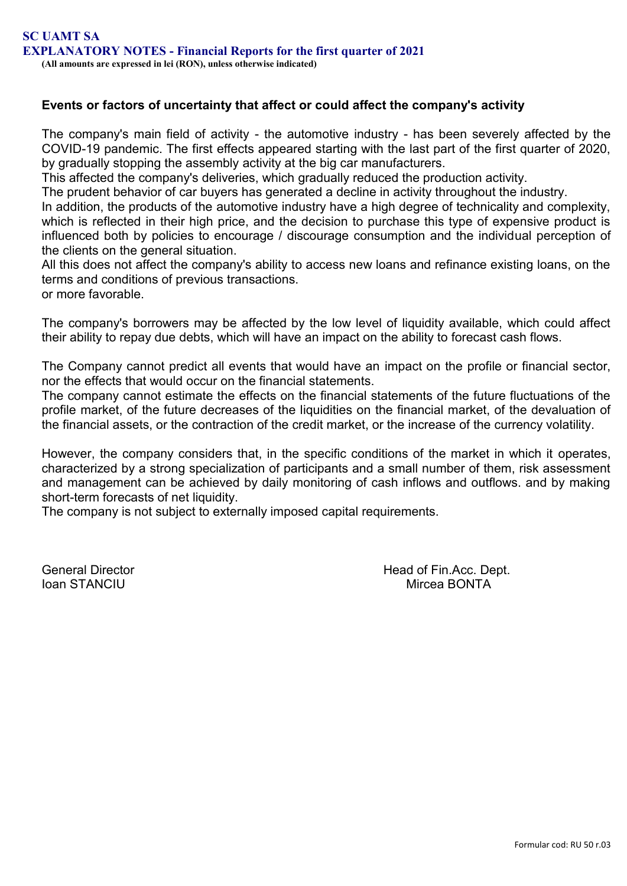# **Events or factors of uncertainty that affect or could affect the company's activity**

The company's main field of activity - the automotive industry - has been severely affected by the COVID-19 pandemic. The first effects appeared starting with the last part of the first quarter of 2020, by gradually stopping the assembly activity at the big car manufacturers.

This affected the company's deliveries, which gradually reduced the production activity.

The prudent behavior of car buyers has generated a decline in activity throughout the industry.

In addition, the products of the automotive industry have a high degree of technicality and complexity, which is reflected in their high price, and the decision to purchase this type of expensive product is influenced both by policies to encourage / discourage consumption and the individual perception of the clients on the general situation.

All this does not affect the company's ability to access new loans and refinance existing loans, on the terms and conditions of previous transactions.

or more favorable.

The company's borrowers may be affected by the low level of liquidity available, which could affect their ability to repay due debts, which will have an impact on the ability to forecast cash flows.

The Company cannot predict all events that would have an impact on the profile or financial sector, nor the effects that would occur on the financial statements.

The company cannot estimate the effects on the financial statements of the future fluctuations of the profile market, of the future decreases of the liquidities on the financial market, of the devaluation of the financial assets, or the contraction of the credit market, or the increase of the currency volatility.

However, the company considers that, in the specific conditions of the market in which it operates, characterized by a strong specialization of participants and a small number of them, risk assessment and management can be achieved by daily monitoring of cash inflows and outflows. and by making short-term forecasts of net liquidity.

The company is not subject to externally imposed capital requirements.

General Director **Head of Fin.Acc. Dept.** Ioan STANCIU Mircea BONTA